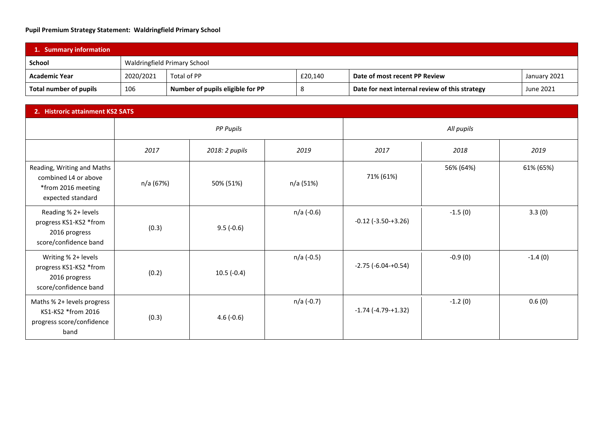## **Pupil Premium Strategy Statement: Waldringfield Primary School**

| 1. Summary information |           |                                  |         |                                                |              |  |
|------------------------|-----------|----------------------------------|---------|------------------------------------------------|--------------|--|
| School                 |           | Waldringfield Primary School     |         |                                                |              |  |
| Academic Year          | 2020/2021 | Total of PP                      | £20,140 | Date of most recent PP Review                  | January 2021 |  |
| Total number of pupils | 106       | Number of pupils eligible for PP |         | Date for next internal review of this strategy | June 2021    |  |

| 2. Histroric attainment KS2 SATS                                                              |                  |                |            |                              |           |           |
|-----------------------------------------------------------------------------------------------|------------------|----------------|------------|------------------------------|-----------|-----------|
|                                                                                               | <b>PP Pupils</b> |                |            | All pupils                   |           |           |
|                                                                                               | 2017             | 2018: 2 pupils | 2019       | 2017                         | 2018      | 2019      |
| Reading, Writing and Maths<br>combined L4 or above<br>*from 2016 meeting<br>expected standard | n/a (67%)        | 50% (51%)      | n/a (51%)  | 71% (61%)                    | 56% (64%) | 61% (65%) |
| Reading % 2+ levels<br>progress KS1-KS2 *from<br>2016 progress<br>score/confidence band       | (0.3)            | $9.5(-0.6)$    | n/a (-0.6) | $-0.12$ ( $-3.50 - +3.26$ )  | $-1.5(0)$ | 3.3(0)    |
| Writing % 2+ levels<br>progress KS1-KS2 *from<br>2016 progress<br>score/confidence band       | (0.2)            | $10.5(-0.4)$   | n/a (-0.5) | $-2.75$ ( $-6.04$ $+0.54$ )  | $-0.9(0)$ | $-1.4(0)$ |
| Maths % 2+ levels progress<br>KS1-KS2 *from 2016<br>progress score/confidence<br>band         | (0.3)            | $4.6(-0.6)$    | n/a (-0.7) | $-1.74$ ( $-4.79$ $-+1.32$ ) | $-1.2(0)$ | 0.6(0)    |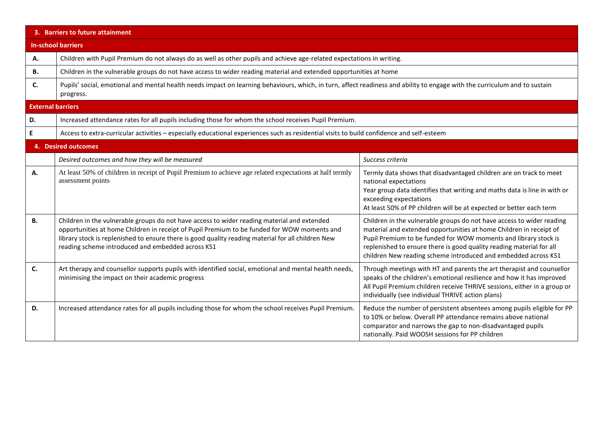| 3. Barriers to future attainment |                                                                                                                                                                                                                                                                                                                                                       |                                                                                                                                                                                                                                                                                                                                                          |  |  |  |  |
|----------------------------------|-------------------------------------------------------------------------------------------------------------------------------------------------------------------------------------------------------------------------------------------------------------------------------------------------------------------------------------------------------|----------------------------------------------------------------------------------------------------------------------------------------------------------------------------------------------------------------------------------------------------------------------------------------------------------------------------------------------------------|--|--|--|--|
|                                  | <b>In-school barriers</b>                                                                                                                                                                                                                                                                                                                             |                                                                                                                                                                                                                                                                                                                                                          |  |  |  |  |
| Α.                               | Children with Pupil Premium do not always do as well as other pupils and achieve age-related expectations in writing.                                                                                                                                                                                                                                 |                                                                                                                                                                                                                                                                                                                                                          |  |  |  |  |
| В.                               | Children in the vulnerable groups do not have access to wider reading material and extended opportunities at home                                                                                                                                                                                                                                     |                                                                                                                                                                                                                                                                                                                                                          |  |  |  |  |
| C.                               | Pupils' social, emotional and mental health needs impact on learning behaviours, which, in turn, affect readiness and ability to engage with the curriculum and to sustain<br>progress.                                                                                                                                                               |                                                                                                                                                                                                                                                                                                                                                          |  |  |  |  |
| <b>External barriers</b>         |                                                                                                                                                                                                                                                                                                                                                       |                                                                                                                                                                                                                                                                                                                                                          |  |  |  |  |
| D.                               | Increased attendance rates for all pupils including those for whom the school receives Pupil Premium.                                                                                                                                                                                                                                                 |                                                                                                                                                                                                                                                                                                                                                          |  |  |  |  |
| E                                | Access to extra-curricular activities - especially educational experiences such as residential visits to build confidence and self-esteem                                                                                                                                                                                                             |                                                                                                                                                                                                                                                                                                                                                          |  |  |  |  |
|                                  | 4. Desired outcomes                                                                                                                                                                                                                                                                                                                                   |                                                                                                                                                                                                                                                                                                                                                          |  |  |  |  |
|                                  | Desired outcomes and how they will be measured                                                                                                                                                                                                                                                                                                        | Success criteria                                                                                                                                                                                                                                                                                                                                         |  |  |  |  |
| А.                               | At least 50% of children in receipt of Pupil Premium to achieve age related expectations at half termly<br>assessment points                                                                                                                                                                                                                          | Termly data shows that disadvantaged children are on track to meet<br>national expectations<br>Year group data identifies that writing and maths data is line in with or<br>exceeding expectations<br>At least 50% of PP children will be at expected or better each term                                                                                |  |  |  |  |
| В.                               | Children in the vulnerable groups do not have access to wider reading material and extended<br>opportunities at home Children in receipt of Pupil Premium to be funded for WOW moments and<br>library stock is replenished to ensure there is good quality reading material for all children New<br>reading scheme introduced and embedded across KS1 | Children in the vulnerable groups do not have access to wider reading<br>material and extended opportunities at home Children in receipt of<br>Pupil Premium to be funded for WOW moments and library stock is<br>replenished to ensure there is good quality reading material for all<br>children New reading scheme introduced and embedded across KS1 |  |  |  |  |
| C.                               | Art therapy and counsellor supports pupils with identified social, emotional and mental health needs,<br>minimising the impact on their academic progress                                                                                                                                                                                             | Through meetings with HT and parents the art therapist and counsellor<br>speaks of the children's emotional resilience and how it has improved<br>All Pupil Premium children receive THRIVE sessions, either in a group or<br>individually (see individual THRIVE action plans)                                                                          |  |  |  |  |
| D.                               | Increased attendance rates for all pupils including those for whom the school receives Pupil Premium.                                                                                                                                                                                                                                                 | Reduce the number of persistent absentees among pupils eligible for PP<br>to 10% or below. Overall PP attendance remains above national<br>comparator and narrows the gap to non-disadvantaged pupils<br>nationally. Paid WOOSH sessions for PP children                                                                                                 |  |  |  |  |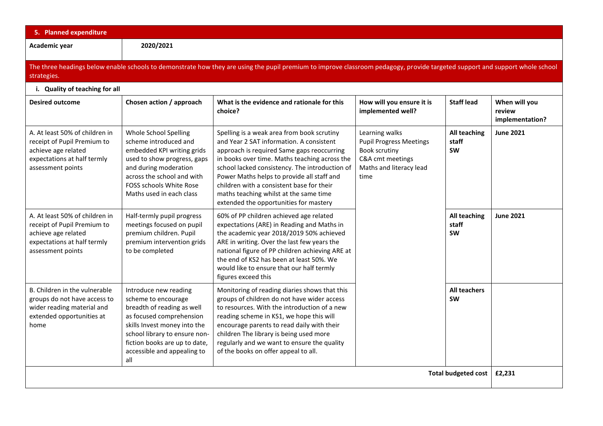| 5. Planned expenditure                                                                                                                                                                      |                                                                                                                                                                                                                                                |                                                                                                                                                                                                                                                                                                                                                                                                                        |                                                                                                                          |                                    |                                            |  |
|---------------------------------------------------------------------------------------------------------------------------------------------------------------------------------------------|------------------------------------------------------------------------------------------------------------------------------------------------------------------------------------------------------------------------------------------------|------------------------------------------------------------------------------------------------------------------------------------------------------------------------------------------------------------------------------------------------------------------------------------------------------------------------------------------------------------------------------------------------------------------------|--------------------------------------------------------------------------------------------------------------------------|------------------------------------|--------------------------------------------|--|
| Academic year                                                                                                                                                                               | 2020/2021                                                                                                                                                                                                                                      |                                                                                                                                                                                                                                                                                                                                                                                                                        |                                                                                                                          |                                    |                                            |  |
| The three headings below enable schools to demonstrate how they are using the pupil premium to improve classroom pedagogy, provide targeted support and support whole school<br>strategies. |                                                                                                                                                                                                                                                |                                                                                                                                                                                                                                                                                                                                                                                                                        |                                                                                                                          |                                    |                                            |  |
| i. Quality of teaching for all                                                                                                                                                              |                                                                                                                                                                                                                                                |                                                                                                                                                                                                                                                                                                                                                                                                                        |                                                                                                                          |                                    |                                            |  |
| <b>Desired outcome</b>                                                                                                                                                                      | Chosen action / approach                                                                                                                                                                                                                       | What is the evidence and rationale for this<br>choice?                                                                                                                                                                                                                                                                                                                                                                 | How will you ensure it is<br>implemented well?                                                                           | <b>Staff lead</b>                  | When will you<br>review<br>implementation? |  |
| A. At least 50% of children in<br>receipt of Pupil Premium to<br>achieve age related<br>expectations at half termly<br>assessment points                                                    | Whole School Spelling<br>scheme introduced and<br>embedded KPI writing grids<br>used to show progress, gaps<br>and during moderation<br>across the school and with<br>FOSS schools White Rose<br>Maths used in each class                      | Spelling is a weak area from book scrutiny<br>and Year 2 SAT information. A consistent<br>approach is required Same gaps reoccurring<br>in books over time. Maths teaching across the<br>school lacked consistency. The introduction of<br>Power Maths helps to provide all staff and<br>children with a consistent base for their<br>maths teaching whilst at the same time<br>extended the opportunities for mastery | Learning walks<br><b>Pupil Progress Meetings</b><br>Book scrutiny<br>C&A cmt meetings<br>Maths and literacy lead<br>time | All teaching<br>staff<br><b>SW</b> | <b>June 2021</b>                           |  |
| A. At least 50% of children in<br>receipt of Pupil Premium to<br>achieve age related<br>expectations at half termly<br>assessment points                                                    | Half-termly pupil progress<br>meetings focused on pupil<br>premium children. Pupil<br>premium intervention grids<br>to be completed                                                                                                            | 60% of PP children achieved age related<br>expectations (ARE) in Reading and Maths in<br>the academic year 2018/2019 50% achieved<br>ARE in writing. Over the last few years the<br>national figure of PP children achieving ARE at<br>the end of KS2 has been at least 50%. We<br>would like to ensure that our half termly<br>figures exceed this                                                                    |                                                                                                                          | All teaching<br>staff<br><b>SW</b> | <b>June 2021</b>                           |  |
| B. Children in the vulnerable<br>groups do not have access to<br>wider reading material and<br>extended opportunities at<br>home                                                            | Introduce new reading<br>scheme to encourage<br>breadth of reading as well<br>as focused comprehension<br>skills Invest money into the<br>school library to ensure non-<br>fiction books are up to date,<br>accessible and appealing to<br>all | Monitoring of reading diaries shows that this<br>groups of children do not have wider access<br>to resources. With the introduction of a new<br>reading scheme in KS1, we hope this will<br>encourage parents to read daily with their<br>children The library is being used more<br>regularly and we want to ensure the quality<br>of the books on offer appeal to all.                                               |                                                                                                                          | <b>All teachers</b><br><b>SW</b>   |                                            |  |
| <b>Total budgeted cost</b>                                                                                                                                                                  |                                                                                                                                                                                                                                                |                                                                                                                                                                                                                                                                                                                                                                                                                        |                                                                                                                          |                                    | £2,231                                     |  |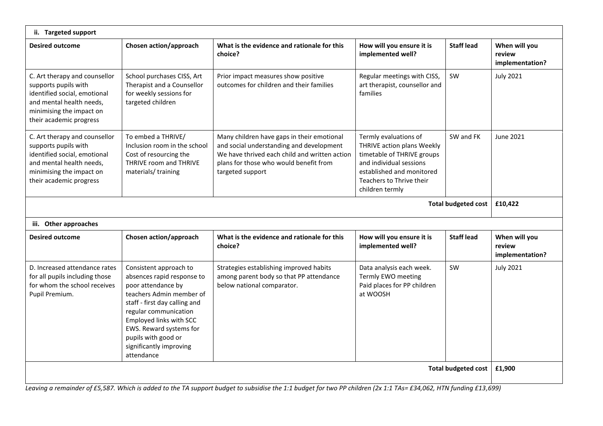| ii. Targeted support                                                                                                                                                     |                                                                                                                                                                                                                                                                                        |                                                                                                                                                                                                       |                                                                                                                                                                                          |                   |                                            |  |
|--------------------------------------------------------------------------------------------------------------------------------------------------------------------------|----------------------------------------------------------------------------------------------------------------------------------------------------------------------------------------------------------------------------------------------------------------------------------------|-------------------------------------------------------------------------------------------------------------------------------------------------------------------------------------------------------|------------------------------------------------------------------------------------------------------------------------------------------------------------------------------------------|-------------------|--------------------------------------------|--|
| <b>Desired outcome</b>                                                                                                                                                   | Chosen action/approach                                                                                                                                                                                                                                                                 | What is the evidence and rationale for this<br>choice?                                                                                                                                                | How will you ensure it is<br>implemented well?                                                                                                                                           | <b>Staff lead</b> | When will you<br>review<br>implementation? |  |
| C. Art therapy and counsellor<br>supports pupils with<br>identified social, emotional<br>and mental health needs,<br>minimising the impact on<br>their academic progress | School purchases CISS, Art<br>Therapist and a Counsellor<br>for weekly sessions for<br>targeted children                                                                                                                                                                               | Prior impact measures show positive<br>outcomes for children and their families                                                                                                                       | Regular meetings with CISS,<br>art therapist, counsellor and<br>families                                                                                                                 | SW                | <b>July 2021</b>                           |  |
| C. Art therapy and counsellor<br>supports pupils with<br>identified social, emotional<br>and mental health needs,<br>minimising the impact on<br>their academic progress | To embed a THRIVE/<br>Inclusion room in the school<br>Cost of resourcing the<br>THRIVE room and THRIVE<br>materials/training                                                                                                                                                           | Many children have gaps in their emotional<br>and social understanding and development<br>We have thrived each child and written action<br>plans for those who would benefit from<br>targeted support | Termly evaluations of<br>THRIVE action plans Weekly<br>timetable of THRIVE groups<br>and individual sessions<br>established and monitored<br>Teachers to Thrive their<br>children termly | SW and FK         | June 2021                                  |  |
| <b>Total budgeted cost</b>                                                                                                                                               |                                                                                                                                                                                                                                                                                        |                                                                                                                                                                                                       |                                                                                                                                                                                          |                   |                                            |  |
| iii. Other approaches                                                                                                                                                    |                                                                                                                                                                                                                                                                                        |                                                                                                                                                                                                       |                                                                                                                                                                                          |                   |                                            |  |
| <b>Desired outcome</b>                                                                                                                                                   | Chosen action/approach                                                                                                                                                                                                                                                                 | What is the evidence and rationale for this<br>choice?                                                                                                                                                | How will you ensure it is<br>implemented well?                                                                                                                                           | <b>Staff lead</b> | When will you<br>review<br>implementation? |  |
| D. Increased attendance rates<br>for all pupils including those<br>for whom the school receives<br>Pupil Premium.                                                        | Consistent approach to<br>absences rapid response to<br>poor attendance by<br>teachers Admin member of<br>staff - first day calling and<br>regular communication<br>Employed links with SCC<br>EWS. Reward systems for<br>pupils with good or<br>significantly improving<br>attendance | Strategies establishing improved habits<br>among parent body so that PP attendance<br>below national comparator.                                                                                      | Data analysis each week.<br>Termly EWO meeting<br>Paid places for PP children<br>at WOOSH                                                                                                | <b>SW</b>         | <b>July 2021</b>                           |  |
| Total budgeted cost                                                                                                                                                      |                                                                                                                                                                                                                                                                                        |                                                                                                                                                                                                       |                                                                                                                                                                                          |                   | £1,900                                     |  |
|                                                                                                                                                                          | Leaving a remainder of £5,587. Which is added to the TA support budget to subsidise the 1:1 budget for two PP children (2x 1:1 TAs= £34,062, HTN funding £13,699)                                                                                                                      |                                                                                                                                                                                                       |                                                                                                                                                                                          |                   |                                            |  |